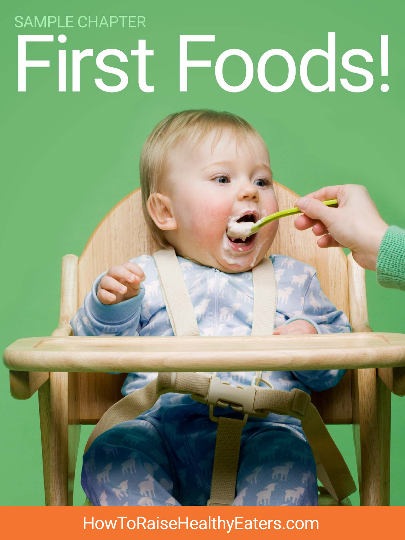# **SAMPLE CHAPTER** First Foods!

HowToRaiseHealthyEaters.com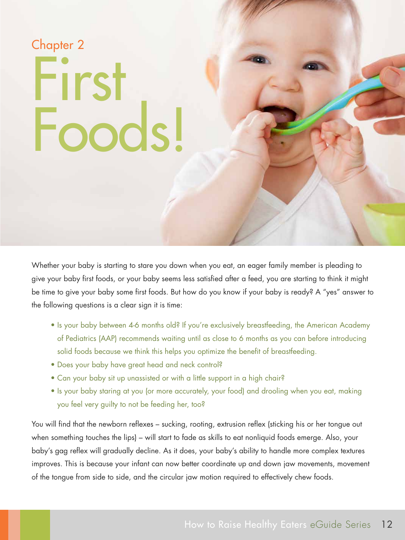## First Foods! Chapter 2

Whether your baby is starting to stare you down when you eat, an eager family member is pleading to give your baby first foods, or your baby seems less satisfied after a feed, you are starting to think it might be time to give your baby some first foods. But how do you know if your baby is ready? A "yes" answer to the following questions is a clear sign it is time:

- Is your baby between 4-6 months old? If you're exclusively breastfeeding, the American Academy of Pediatrics (AAP) recommends waiting until as close to 6 months as you can before introducing solid foods because we think this helps you optimize the benefit of breastfeeding.
- Does your baby have great head and neck control?
- Can your baby sit up unassisted or with a little support in a high chair?
- Is your baby staring at you (or more accurately, your food) and drooling when you eat, making you feel very guilty to not be feeding her, too?

You will find that the newborn reflexes – sucking, rooting, extrusion reflex (sticking his or her tongue out when something touches the lips) – will start to fade as skills to eat nonliquid foods emerge. Also, your baby's gag reflex will gradually decline. As it does, your baby's ability to handle more complex textures improves. This is because your infant can now better coordinate up and down jaw movements, movement of the tongue from side to side, and the circular jaw motion required to effectively chew foods.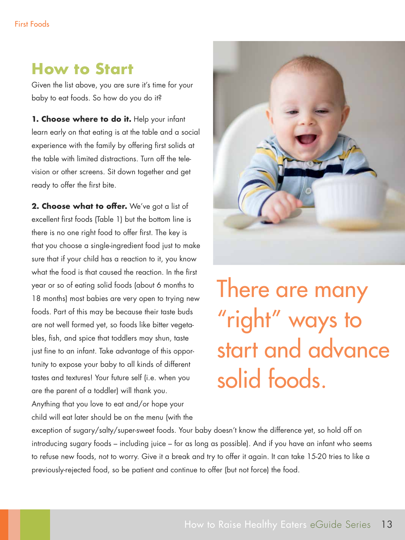### **How to Start**

Given the list above, you are sure it's time for your baby to eat foods. So how do you do it?

1. Choose where to do it. Help your infant learn early on that eating is at the table and a social experience with the family by offering first solids at the table with limited distractions. Turn off the television or other screens. Sit down together and get ready to offer the first bite.

**2. Choose what to offer.** We've got a list of excellent first foods (Table 1) but the bottom line is there is no one right food to offer first. The key is that you choose a single-ingredient food just to make sure that if your child has a reaction to it, you know what the food is that caused the reaction. In the first year or so of eating solid foods (about 6 months to 18 months) most babies are very open to trying new foods. Part of this may be because their taste buds are not well formed yet, so foods like bitter vegetables, fish, and spice that toddlers may shun, taste just fine to an infant. Take advantage of this opportunity to expose your baby to all kinds of different tastes and textures! Your future self (i.e. when you are the parent of a toddler) will thank you.

Anything that you love to eat and/or hope your child will eat later should be on the menu (with the



There are many "right" ways to start and advance solid foods.

exception of sugary/salty/super-sweet foods. Your baby doesn't know the difference yet, so hold off on introducing sugary foods – including juice – for as long as possible). And if you have an infant who seems to refuse new foods, not to worry. Give it a break and try to offer it again. It can take 15-20 tries to like a previously-rejected food, so be patient and continue to offer (but not force) the food.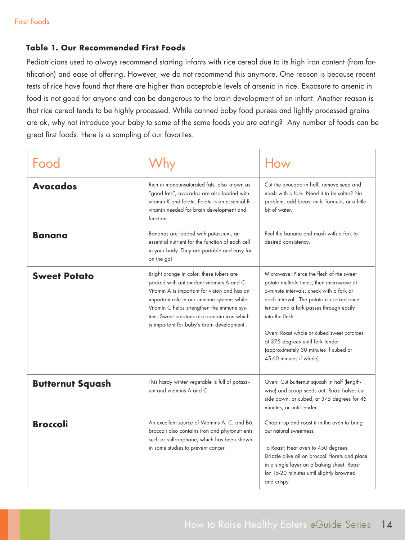#### **Table 1. Our Recommended First Foods**

Pediatricians used to always recommend starting infants with rice cereal due to its high iron content (from fortification) and ease of offering. However, we do not recommend this anymore. One reason is because recent tests of rice have found that there are higher than acceptable levels of arsenic in rice. Exposure to arsenic in food is not good for anyone and can be dangerous to the brain development of an infant. Another reason is that rice cereal tends to be highly processed. While canned baby food purees and lightly processed grains are ok, why not introduce your baby to some of the same foods you are eating? Any number of foods can be great first foods. Here is a sampling of our favorites.

| Food                    |                                                                                                                                                                                                                                                                                                                                | How                                                                                                                                                                                                                                                                                                                                                                                              |
|-------------------------|--------------------------------------------------------------------------------------------------------------------------------------------------------------------------------------------------------------------------------------------------------------------------------------------------------------------------------|--------------------------------------------------------------------------------------------------------------------------------------------------------------------------------------------------------------------------------------------------------------------------------------------------------------------------------------------------------------------------------------------------|
| <b>Avocados</b>         | Rich in monounsaturated fats, also known as<br>"good fats", avocados are also loaded with<br>vitamin K and folate. Folate is an essential B<br>vitamin needed for brain development and<br>function.                                                                                                                           | Cut the avocado in half, remove seed and<br>mash with a fork. Need it to be softer? No<br>problem, add breast milk, formula, or a little<br>bit of water.                                                                                                                                                                                                                                        |
| <b>Banana</b>           | Bananas are loaded with potassium, an<br>essential nutrient for the function of each cell<br>in your body. They are portable and easy for<br>on the go!                                                                                                                                                                        | Peel the banana and mash with a fork to<br>desired consistency.                                                                                                                                                                                                                                                                                                                                  |
| <b>Sweet Potato</b>     | Bright orange in color, these tubers are<br>packed with antioxidant vitamins A and C.<br>Vitamin A is important for vision and has an<br>important role in our immune systems while<br>Vitamin C helps strengthen the immune sys-<br>tem. Sweet potatoes also contain iron which<br>is important for baby's brain development. | Microwave: Pierce the flesh of the sweet<br>potato multiple times, then microwave at<br>5-minute intervals, check with a fork at<br>each interval. The potato is cooked once<br>tender and a fork passes through easily<br>into the flesh.<br>Oven: Roast whole or cubed sweet potatoes<br>at 375 degrees until fork tender<br>(approximately 30 minutes if cubed or<br>45-60 minutes if whole). |
| <b>Butternut Squash</b> | This hardy winter vegetable is full of potassi-<br>um and vitamins A and C.                                                                                                                                                                                                                                                    | Oven: Cut butternut squash in half (length-<br>wise) and scoop seeds out. Roast halves cut<br>side down, or cubed, at 375 degrees for 45<br>minutes, or until tender.                                                                                                                                                                                                                            |
| <b>Broccoli</b>         | An excellent source of Vitamins A, C, and B6,<br>broccoli also contains iron and phytonutrients<br>such as sulforaphane, which has been shown<br>in some studies to prevent cancer.                                                                                                                                            | Chop it up and roast it in the oven to bring<br>out natural sweetness.<br>To Roast: Heat oven to 450 degrees.<br>Drizzle olive oil on broccoli florets and place<br>in a single layer on a baking sheet. Roast<br>for 15-20 minutes until slightly browned<br>and crispy.                                                                                                                        |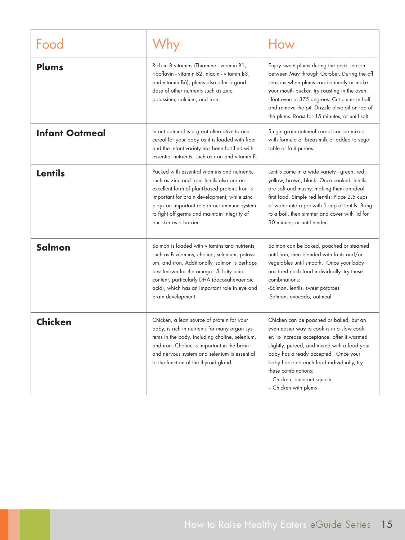|                       |                                                                                                                                                                                                                                                                                                                        | How                                                                                                                                                                                                                                                                                                                                                      |
|-----------------------|------------------------------------------------------------------------------------------------------------------------------------------------------------------------------------------------------------------------------------------------------------------------------------------------------------------------|----------------------------------------------------------------------------------------------------------------------------------------------------------------------------------------------------------------------------------------------------------------------------------------------------------------------------------------------------------|
| <b>Plums</b>          | Rich in B vitamins (Thiamine - vitamin B1,<br>riboflavin - vitamin B2, niacin - vitamin B3,<br>and vitamin B6), plums also offer a good<br>dose of other nutrients such as zinc,<br>potassium, calcium, and iron.                                                                                                      | Enjoy sweet plums during the peak season<br>between May through October. During the off<br>seasons when plums can be mealy or make<br>your mouth pucker, try roasting in the oven.<br>Heat oven to 375 degrees. Cut plums in half<br>and remove the pit. Drizzle olive oil on top of<br>the plums. Roast for 15 minutes, or until soft.                  |
| <b>Infant Oatmeal</b> | Infant oatmeal is a great alternative to rice<br>cereal for your baby as it is loaded with fiber<br>and the infant variety has been fortified with<br>essential nutrients, such as iron and vitamin E.                                                                                                                 | Single grain oatmeal cereal can be mixed<br>with formula or breastmilk or added to vege-<br>table or fruit purees.                                                                                                                                                                                                                                       |
| <b>Lentils</b>        | Packed with essential vitamins and nutrients,<br>such as zinc and iron, lentils also are an<br>excellent form of plant-based protein. Iron is<br>important for brain development, while zinc<br>plays an important role in our immune system<br>to fight off germs and maintain integrity of<br>our skin as a barrier. | Lentils come in a wide variety - green, red,<br>yellow, brown, black. Once cooked, lentils<br>are soft and mushy, making them an ideal<br>first food. Simple red lentils: Place 2.5 cups<br>of water into a pot with 1 cup of lentils. Bring<br>to a boil, then simmer and cover with lid for<br>30 minutes or until tender.                             |
| <b>Salmon</b>         | Salmon is loaded with vitamins and nutrients,<br>such as B vitamins, choline, selenium, potassi-<br>um, and iron. Additionally, salmon is perhaps<br>best known for the omega - 3- fatty acid<br>content, particularly DHA (docosahexaenoic<br>acid), which has an important role in eye and<br>brain development.     | Salmon can be baked, poached or steamed<br>until firm, then blended with fruits and/or<br>vegetables until smooth. Once your baby<br>has tried each food individually, try these<br>combinations:<br>-Salmon, lentils, sweet potatoes<br>-Salmon, avocado, oatmeal                                                                                       |
| <b>Chicken</b>        | Chicken, a lean source of protein for your<br>baby, is rich in nutrients for many organ sys-<br>tems in the body, including choline, selenium,<br>and iron. Choline is important in the brain<br>and nervous system and selenium is essential<br>to the function of the thyroid gland.                                 | Chicken can be poached or baked, but an<br>even easier way to cook is in a slow cook-<br>er. To increase acceptance, offer it warmed<br>slightly, pureed, and mixed with a food your<br>baby has already accepted. Once your<br>baby has tried each food individually, try<br>these combinations:<br>- Chicken, butternut squash<br>- Chicken with plums |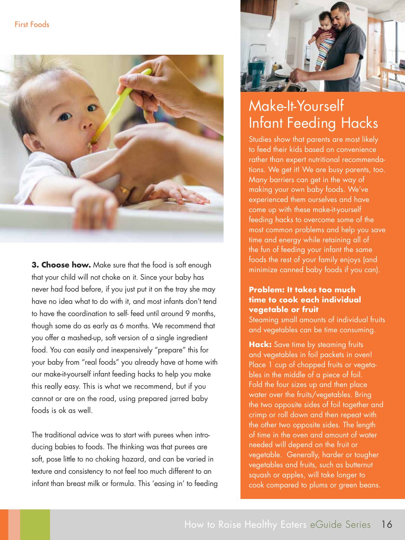

**3. Choose how.** Make sure that the food is soft enough that your child will not choke on it. Since your baby has never had food before, if you just put it on the tray she may have no idea what to do with it, and most infants don't tend to have the coordination to self- feed until around 9 months, though some do as early as 6 months. We recommend that you offer a mashed-up, soft version of a single ingredient food. You can easily and inexpensively "prepare" this for your baby from "real foods" you already have at home with our make-it-yourself infant feeding hacks to help you make this really easy. This is what we recommend, but if you cannot or are on the road, using prepared jarred baby foods is ok as well.

The traditional advice was to start with purees when introducing babies to foods. The thinking was that purees are soft, pose little to no choking hazard, and can be varied in texture and consistency to not feel too much different to an infant than breast milk or formula. This 'easing in' to feeding



## Make-It-Yourself Infant Feeding Hacks

Studies show that parents are most likely to feed their kids based on convenience rather than expert nutritional recommendations. We get it! We are busy parents, too. Many barriers can get in the way of making your own baby foods. We've experienced them ourselves and have come up with these make-it-yourself feeding hacks to overcome some of the most common problems and help you save time and energy while retaining all of the fun of feeding your infant the same foods the rest of your family enjoys (and minimize canned baby foods if you can).

#### **Problem: It takes too much time to cook each individual vegetable or fruit**

Steaming small amounts of individual fruits and vegetables can be time consuming.

**Hack:** Save time by steaming fruits and vegetables in foil packets in oven! Place 1 cup of chopped fruits or vegetables in the middle of a piece of foil. Fold the four sizes up and then place water over the fruits/vegetables. Bring the two opposite sides of foil together and crimp or roll down and then repeat with the other two opposite sides. The length of time in the oven and amount of water needed will depend on the fruit or vegetable. Generally, harder or tougher vegetables and fruits, such as butternut squash or apples, will take longer to cook compared to plums or green beans.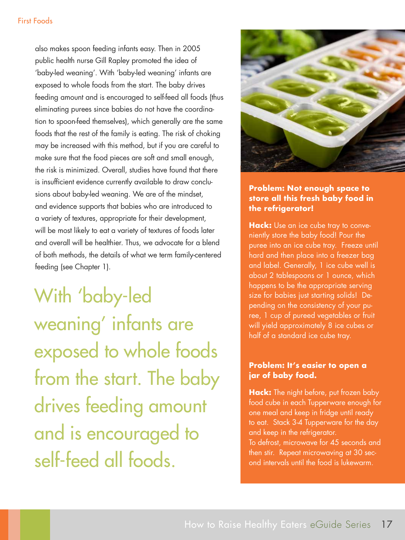#### First Foods

also makes spoon feeding infants easy. Then in 2005 public health nurse Gill Rapley promoted the idea of 'baby-led weaning'. With 'baby-led weaning' infants are exposed to whole foods from the start. The baby drives feeding amount and is encouraged to self-feed all foods (thus eliminating purees since babies do not have the coordination to spoon-feed themselves), which generally are the same foods that the rest of the family is eating. The risk of choking may be increased with this method, but if you are careful to make sure that the food pieces are soft and small enough, the risk is minimized. Overall, studies have found that there is insufficient evidence currently available to draw conclusions about baby-led weaning. We are of the mindset, and evidence supports that babies who are introduced to a variety of textures, appropriate for their development, will be most likely to eat a variety of textures of foods later and overall will be healthier. Thus, we advocate for a blend of both methods, the details of what we term family-centered feeding (see Chapter 1).

With 'baby-led weaning' infants are exposed to whole foods from the start. The baby drives feeding amount and is encouraged to self-feed all foods.



#### **Problem: Not enough space to store all this fresh baby food in the refrigerator!**

**Hack:** Use an ice cube tray to conveniently store the baby food! Pour the puree into an ice cube tray. Freeze until hard and then place into a freezer bag and label. Generally, 1 ice cube well is about 2 tablespoons or 1 ounce, which happens to be the appropriate serving size for babies just starting solids! Depending on the consistency of your puree, 1 cup of pureed vegetables or fruit will yield approximately 8 ice cubes or half of a standard ice cube tray.

#### **Problem: It's easier to open a jar of baby food.**

**Hack:** The night before, put frozen baby food cube in each Tupperware enough for one meal and keep in fridge until ready to eat. Stack 3-4 Tupperware for the day and keep in the refrigerator. To defrost, microwave for 45 seconds and then stir. Repeat microwaving at 30 second intervals until the food is lukewarm.